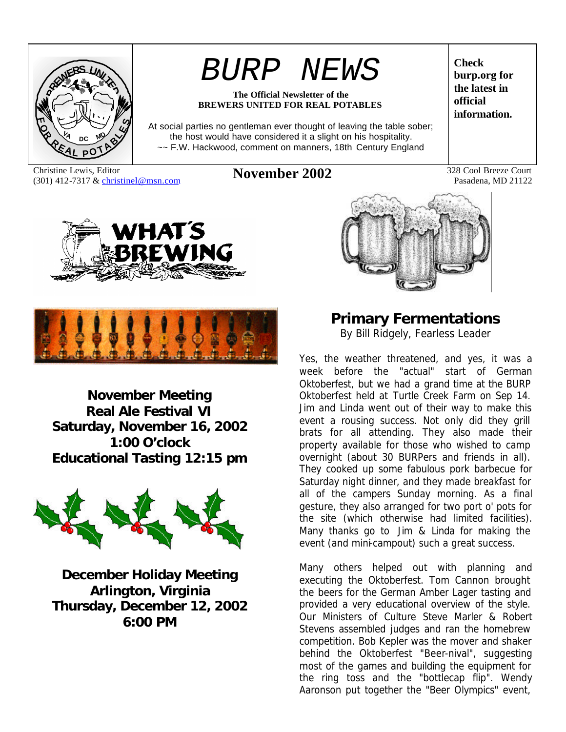

# *BURP NEWS*

#### **The Official Newsletter of the BREWERS UNITED FOR REAL POTABLES**

At social parties no gentleman ever thought of leaving the table sober; the host would have considered it a slight on his hospitality. ~~ F.W. Hackwood, comment on manners, 18th Century England

Christine Lewis, Editor Christine Lewis, Editor **November 2002** 328 Cool Breeze Court 320 Alexander 328 Cool Breeze Court 320 1122

**Check burp.org for the latest in official information.**

Pasadena, MD 21122





**November Meeting Real Ale Festival VI Saturday, November 16, 2002 1:00 O'clock Educational Tasting 12:15 pm**



**December Holiday Meeting Arlington, Virginia Thursday, December 12, 2002 6:00 PM**



**Primary Fermentations** *By Bill Ridgely, Fearless Leader*

Yes, the weather threatened, and yes, it was a week before the "actual" start of German Oktoberfest, but we had a grand time at the BURP Oktoberfest held at Turtle Creek Farm on Sep 14. Jim and Linda went out of their way to make this event a rousing success. Not only did they grill brats for all attending. They also made their property available for those who wished to camp overnight (about 30 BURPers and friends in all). They cooked up some fabulous pork barbecue for Saturday night dinner, and they made breakfast for all of the campers Sunday morning. As a final gesture, they also arranged for two port o' pots for the site (which otherwise had limited facilities). Many thanks go to Jim & Linda for making the event (and mini-campout) such a great success.

Many others helped out with planning and executing the Oktoberfest. Tom Cannon brought the beers for the German Amber Lager tasting and provided a very educational overview of the style. Our Ministers of Culture Steve Marler & Robert Stevens assembled judges and ran the homebrew competition. Bob Kepler was the mover and shaker behind the Oktoberfest "Beer-nival", suggesting most of the games and building the equipment for the ring toss and the "bottlecap flip". Wendy Aaronson put together the "Beer Olympics" event,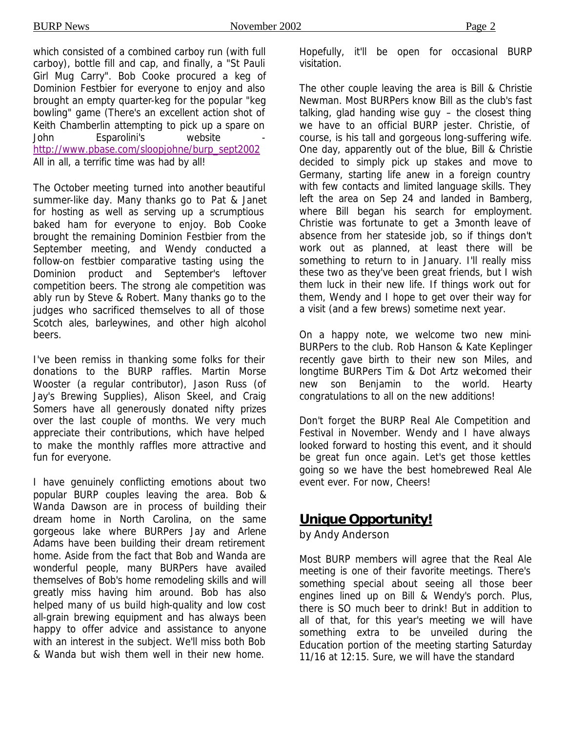which consisted of a combined carboy run (with full carboy), bottle fill and cap, and finally, a "St Pauli Girl Mug Carry". Bob Cooke procured a keg of Dominion Festbier for everyone to enjoy and also brought an empty quarter-keg for the popular "keg bowling" game (There's an excellent action shot of Keith Chamberlin attempting to pick up a spare on John Esparolini's website http://www.pbase.com/sloopjohne/burp\_sept2002 All in all, a terrific time was had by all!

The October meeting turned into another beautiful summer-like day. Many thanks go to Pat & Janet for hosting as well as serving up a scrumptious baked ham for everyone to enjoy. Bob Cooke brought the remaining Dominion Festbier from the September meeting, and Wendy conducted a follow-on festbier comparative tasting using the Dominion product and September's leftover competition beers. The strong ale competition was ably run by Steve & Robert. Many thanks go to the judges who sacrificed themselves to all of those Scotch ales, barleywines, and other high alcohol beers.

I've been remiss in thanking some folks for their donations to the BURP raffles. Martin Morse Wooster (a regular contributor), Jason Russ (of Jay's Brewing Supplies), Alison Skeel, and Craig Somers have all generously donated nifty prizes over the last couple of months. We very much appreciate their contributions, which have helped to make the monthly raffles more attractive and fun for everyone.

I have genuinely conflicting emotions about two popular BURP couples leaving the area. Bob & Wanda Dawson are in process of building their dream home in North Carolina, on the same gorgeous lake where BURPers Jay and Arlene Adams have been building their dream retirement home. Aside from the fact that Bob and Wanda are wonderful people, many BURPers have availed themselves of Bob's home remodeling skills and will greatly miss having him around. Bob has also helped many of us build high-quality and low cost all-grain brewing equipment and has always been happy to offer advice and assistance to anyone with an interest in the subject. We'll miss both Bob & Wanda but wish them well in their new home.

Hopefully, it'll be open for occasional BURP visitation.

The other couple leaving the area is Bill & Christie Newman. Most BURPers know Bill as the club's fast talking, glad handing wise guy – the closest thing we have to an official BURP jester. Christie, of course, is his tall and gorgeous long-suffering wife. One day, apparently out of the blue, Bill & Christie decided to simply pick up stakes and move to Germany, starting life anew in a foreign country with few contacts and limited language skills. They left the area on Sep 24 and landed in Bamberg, where Bill began his search for employment. Christie was fortunate to get a 3-month leave of absence from her stateside job, so if things don't work out as planned, at least there will be something to return to in January. I'll really miss these two as they've been great friends, but I wish them luck in their new life. If things work out for them, Wendy and I hope to get over their way for a visit (and a few brews) sometime next year.

On a happy note, we welcome two new mini-BURPers to the club. Rob Hanson & Kate Keplinger recently gave birth to their new son Miles, and longtime BURPers Tim & Dot Artz welcomed their new son Benjamin to the world. Hearty congratulations to all on the new additions!

Don't forget the BURP Real Ale Competition and Festival in November. Wendy and I have always looked forward to hosting this event, and it should be great fun once again. Let's get those kettles going so we have the best homebrewed Real Ale event ever. For now, Cheers!

## **Unique Opportunity!**

*by Andy Anderson*

Most BURP members will agree that the Real Ale meeting is one of their favorite meetings. There's something special about seeing all those beer engines lined up on Bill & Wendy's porch. Plus, there is SO much beer to drink! But in addition to all of that, for this year's meeting we will have something extra to be unveiled during the Education portion of the meeting starting Saturday 11/16 at 12:15. Sure, we will have the standard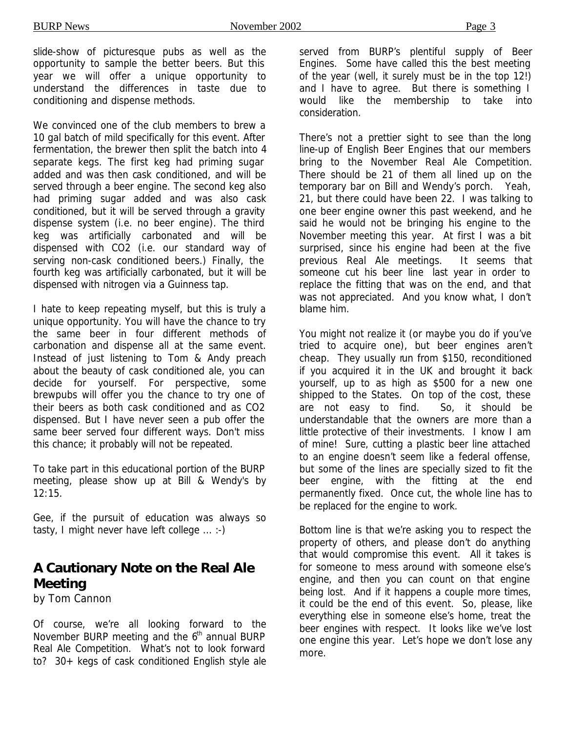slide-show of picturesque pubs as well as the opportunity to sample the better beers. But this year we will offer a unique opportunity to understand the differences in taste due to conditioning and dispense methods.

We convinced one of the club members to brew a 10 gal batch of mild specifically for this event. After fermentation, the brewer then split the batch into 4 separate kegs. The first keg had priming sugar added and was then cask conditioned, and will be served through a beer engine. The second keg also had priming sugar added and was also cask conditioned, but it will be served through a gravity dispense system (i.e. no beer engine). The third keg was artificially carbonated and will be dispensed with CO2 (i.e. our standard way of serving non-cask conditioned beers.) Finally, the fourth keg was artificially carbonated, but it will be dispensed with nitrogen via a Guinness tap.

I hate to keep repeating myself, but this is truly a unique opportunity. You will have the chance to try the same beer in four different methods of carbonation and dispense all at the same event. Instead of just listening to Tom & Andy preach about the beauty of cask conditioned ale, you can decide for yourself. For perspective, some brewpubs will offer you the chance to try one of their beers as both cask conditioned and as CO2 dispensed. But I have never seen a pub offer the same beer served four different ways. Don't miss this chance; it probably will not be repeated.

To take part in this educational portion of the BURP meeting, please show up at Bill & Wendy's by 12:15.

Gee, if the pursuit of education was always so tasty, I might never have left college ... :-)

## **A Cautionary Note on the Real Ale Meeting**

*by Tom Cannon*

Of course, we're all looking forward to the November BURP meeting and the  $6<sup>th</sup>$  annual BURP Real Ale Competition. What's not to look forward to? 30+ kegs of cask conditioned English style ale served from BURP's plentiful supply of Beer Engines. Some have called this the best meeting of the year (well, it surely must be in the top 12!) and I have to agree. But there is something I would like the membership to take into consideration.

There's not a prettier sight to see than the long line-up of English Beer Engines that our members bring to the November Real Ale Competition. There should be 21 of them all lined up on the temporary bar on Bill and Wendy's porch. Yeah, 21, but there could have been 22. I was talking to one beer engine owner this past weekend, and he said he would not be bringing his engine to the November meeting this year. At first I was a bit surprised, since his engine had been at the five previous Real Ale meetings. It seems that someone cut his beer line last year in order to replace the fitting that was on the end, and that was not appreciated. And you know what, I don't blame him.

You might not realize it (or maybe you do if you've tried to acquire one), but beer engines aren't cheap. They usually run from \$150, reconditioned if you acquired it in the UK and brought it back yourself, up to as high as \$500 for a new one shipped to the States. On top of the cost, these are not easy to find. So, it should be understandable that the owners are more than a little protective of their investments. I know I am of mine! Sure, cutting a plastic beer line attached to an engine doesn't seem like a federal offense, but some of the lines are specially sized to fit the beer engine, with the fitting at the end permanently fixed. Once cut, the whole line has to be replaced for the engine to work.

Bottom line is that we're asking you to respect the property of others, and please don't do anything that would compromise this event. All it takes is for someone to mess around with someone else's engine, and then you can count on that engine being lost. And if it happens a couple more times, it could be the end of this event. So, please, like everything else in someone else's home, treat the beer engines with respect. It looks like we've lost one engine this year. Let's hope we don't lose any more.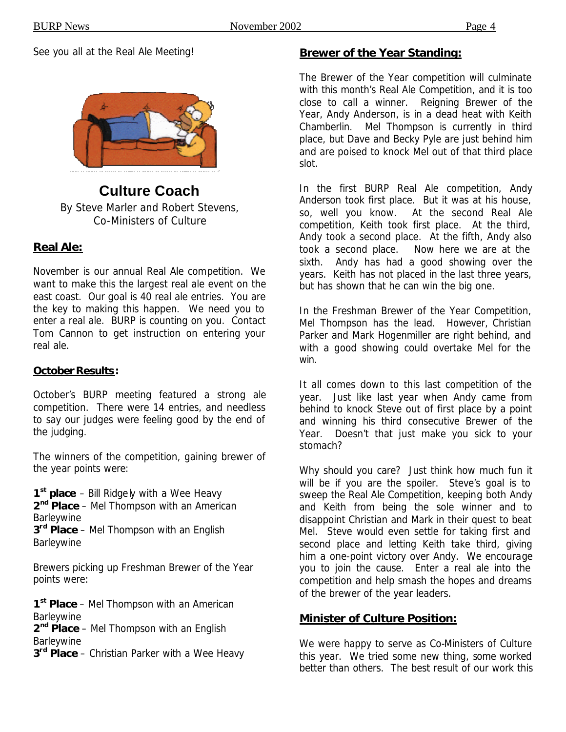See you all at the Real Ale Meeting!



#### **Culture Coach** *By Steve Marler and Robert Stevens, Co-Ministers of Culture*

#### **Real Ale:**

November is our annual Real Ale competition. We want to make this the largest real ale event on the east coast. Our goal is 40 real ale entries. You are the key to making this happen. We need you to enter a real ale. BURP is counting on you. Contact Tom Cannon to get instruction on entering your real ale.

#### **October Results:**

October's BURP meeting featured a strong ale competition. There were 14 entries, and needless to say our judges were feeling good by the end of the judging.

The winners of the competition, gaining brewer of the year points were:

**1 st place** – Bill Ridgely with a Wee Heavy **2 nd Place** – Mel Thompson with an American Barleywine

**3 rd Place** – Mel Thompson with an English Barleywine

Brewers picking up Freshman Brewer of the Year points were:

**1 st Place** – Mel Thompson with an American **Barleywine** 

**2 nd Place** – Mel Thompson with an English **Barleywine** 

**3 rd Place** – Christian Parker with a Wee Heavy

#### **Brewer of the Year Standing:**

The Brewer of the Year competition will culminate with this month's Real Ale Competition, and it is too close to call a winner. Reigning Brewer of the Year, Andy Anderson, is in a dead heat with Keith Chamberlin. Mel Thompson is currently in third place, but Dave and Becky Pyle are just behind him and are poised to knock Mel out of that third place slot.

In the first BURP Real Ale competition, Andy Anderson took first place. But it was at his house, so, well you know. At the second Real Ale competition, Keith took first place. At the third, Andy took a second place. At the fifth, Andy also took a second place. Now here we are at the sixth. Andy has had a good showing over the years. Keith has not placed in the last three years, but has shown that he can win the big one.

In the Freshman Brewer of the Year Competition, Mel Thompson has the lead. However, Christian Parker and Mark Hogenmiller are right behind, and with a good showing could overtake Mel for the win.

It all comes down to this last competition of the year. Just like last year when Andy came from behind to knock Steve out of first place by a point and winning his third consecutive Brewer of the Year. Doesn't that just make you sick to your stomach?

Why should you care? Just think how much fun it will be if you are the spoiler. Steve's goal is to sweep the Real Ale Competition, keeping both Andy and Keith from being the sole winner and to disappoint Christian and Mark in their quest to beat Mel. Steve would even settle for taking first and second place and letting Keith take third, giving him a one-point victory over Andy. We encourage you to join the cause. Enter a real ale into the competition and help smash the hopes and dreams of the brewer of the year leaders.

#### **Minister of Culture Position:**

We were happy to serve as Co-Ministers of Culture this year. We tried some new thing, some worked better than others. The best result of our work this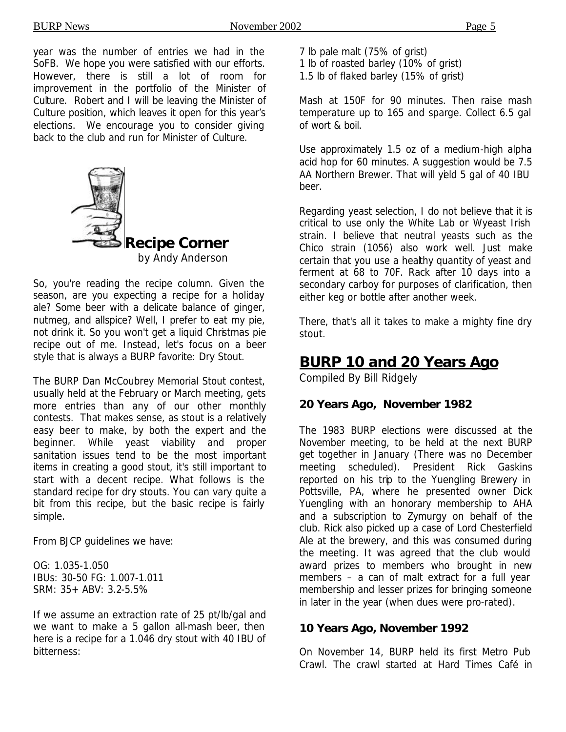year was the number of entries we had in the SoFB. We hope you were satisfied with our efforts. However, there is still a lot of room for improvement in the portfolio of the Minister of Culture. Robert and I will be leaving the Minister of Culture position, which leaves it open for this year's elections. We encourage you to consider giving back to the club and run for Minister of Culture.



So, you're reading the recipe column. Given the season, are you expecting a recipe for a holiday ale? Some beer with a delicate balance of ginger, nutmeg, and allspice? Well, I prefer to eat my pie, not drink it. So you won't get a liquid Christmas pie recipe out of me. Instead, let's focus on a beer style that is always a BURP favorite: Dry Stout.

The BURP Dan McCoubrey Memorial Stout contest, usually held at the February or March meeting, gets more entries than any of our other monthly contests. That makes sense, as stout is a relatively easy beer to make, by both the expert and the beginner. While yeast viability and proper sanitation issues tend to be the most important items in creating a good stout, it's still important to start with a decent recipe. What follows is the standard recipe for dry stouts. You can vary quite a bit from this recipe, but the basic recipe is fairly simple.

From BJCP guidelines we have:

OG: 1.035-1.050 IBUs: 30-50 FG: 1.007-1.011 SRM: 35+ ABV: 3.2-5.5%

If we assume an extraction rate of 25 pt/lb/gal and we want to make a 5 gallon all-mash beer, then here is a recipe for a 1.046 dry stout with 40 IBU of bitterness:

- 7 lb pale malt (75% of grist)
- 1 lb of roasted barley (10% of grist)
- 1.5 lb of flaked barley (15% of grist)

Mash at 150F for 90 minutes. Then raise mash temperature up to 165 and sparge. Collect 6.5 gal of wort & boil.

Use approximately 1.5 oz of a medium-high alpha acid hop for 60 minutes. A suggestion would be 7.5 AA Northern Brewer. That will yeld 5 gal of 40 IBU beer.

Regarding yeast selection, I do not believe that it is critical to use only the White Lab or Wyeast Irish strain. I believe that neutral yeasts such as the Chico strain (1056) also work well. Just make certain that you use a healthy quantity of yeast and ferment at 68 to 70F. Rack after 10 days into a secondary carboy for purposes of clarification, then either keg or bottle after another week.

There, that's all it takes to make a mighty fine dry stout.

## **BURP 10 and 20 Years Ago**

*Compiled By Bill Ridgely*

#### **20 Years Ago, November 1982**

The 1983 BURP elections were discussed at the November meeting, to be held at the next BURP get together in January (There was no December meeting scheduled). President Rick Gaskins reported on his trip to the Yuengling Brewery in Pottsville, PA, where he presented owner Dick Yuengling with an honorary membership to AHA and a subscription to Zymurgy on behalf of the club. Rick also picked up a case of Lord Chesterfield Ale at the brewery, and this was consumed during the meeting. It was agreed that the club would award prizes to members who brought in new members – a can of malt extract for a full year membership and lesser prizes for bringing someone in later in the year (when dues were pro-rated).

#### **10 Years Ago, November 1992**

On November 14, BURP held its first Metro Pub Crawl. The crawl started at Hard Times Café in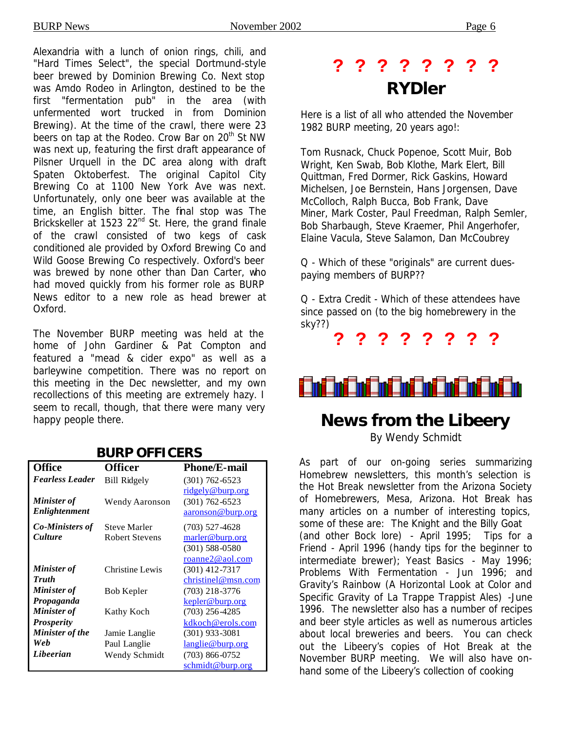Alexandria with a lunch of onion rings, chili, and "Hard Times Select", the special Dortmund-style beer brewed by Dominion Brewing Co. Next stop was Amdo Rodeo in Arlington, destined to be the first "fermentation pub" in the area (with unfermented wort trucked in from Dominion Brewing). At the time of the crawl, there were 23 beers on tap at the Rodeo. Crow Bar on 20<sup>th</sup> St NW was next up, featuring the first draft appearance of Pilsner Urquell in the DC area along with draft Spaten Oktoberfest. The original Capitol City Brewing Co at 1100 New York Ave was next. Unfortunately, only one beer was available at the time, an English bitter. The final stop was The Brickskeller at 1523 22<sup>nd</sup> St. Here, the grand finale of the crawl consisted of two kegs of cask conditioned ale provided by Oxford Brewing Co and Wild Goose Brewing Co respectively. Oxford's beer was brewed by none other than Dan Carter, who had moved quickly from his former role as BURP News editor to a new role as head brewer at Oxford.

The November BURP meeting was held at the home of John Gardiner & Pat Compton and featured a "mead & cider expo" as well as a barleywine competition. There was no report on this meeting in the Dec newsletter, and my own recollections of this meeting are extremely hazy. I seem to recall, though, that there were many very happy people there.

#### **BURP OFFICERS**

| <b>Office</b>          | <b>Officer</b>        | <b>Phone/E-mail</b> |
|------------------------|-----------------------|---------------------|
| <b>Fearless Leader</b> | <b>Bill Ridgely</b>   | $(301)$ 762-6523    |
|                        |                       | ridgely@burp.org    |
| Minister of            | Wendy Aaronson        | $(301) 762 - 6523$  |
| Enlightenment          |                       | aaronson@burp.org   |
| <b>Co-Ministers of</b> | <b>Steve Marler</b>   | $(703)$ 527-4628    |
| <b>Culture</b>         | <b>Robert Stevens</b> | marler@burp.org     |
|                        |                       | $(301)$ 588-0580    |
|                        |                       | roanne2@aol.com     |
| <b>Minister</b> of     | Christine Lewis       | $(301)$ 412-7317    |
| <b>Truth</b>           |                       | christinel@msn.com  |
| Minister of            | Bob Kepler            | $(703)$ 218-3776    |
| Propaganda             |                       | kepler@burp.org     |
| <b>Minister of</b>     | Kathy Koch            | $(703)$ 256-4285    |
| <b>Prosperity</b>      |                       | kdkoch@erols.com    |
| <b>Minister of the</b> | Jamie Langlie         | $(301)$ 933-3081    |
| Web                    | Paul Langlie          | langlie@burp.org    |
| Libeerian              | Wendy Schmidt         | $(703)$ 866-0752    |
|                        |                       | schmidt@burp.org    |

## **? ? ? ? ? ? ? ?**  *RYDler*

Here is a list of all who attended the November 1982 BURP meeting, 20 years ago!:

Tom Rusnack, Chuck Popenoe, Scott Muir, Bob Wright, Ken Swab, Bob Klothe, Mark Elert, Bill Quittman, Fred Dormer, Rick Gaskins, Howard Michelsen, Joe Bernstein, Hans Jorgensen, Dave McColloch, Ralph Bucca, Bob Frank, Dave Miner, Mark Coster, Paul Freedman, Ralph Semler, Bob Sharbaugh, Steve Kraemer, Phil Angerhofer, Elaine Vacula, Steve Salamon, Dan McCoubrey

Q - Which of these "originals" are current duespaying members of BURP??

Q - Extra Credit - Which of these attendees have since passed on (to the big homebrewery in the sky??)

**? ? ? ? ? ? ? ?**

i ini ini ini ini ini ini ini ini

## **News from the Libeery**

*By Wendy Schmidt*

As part of our on-going series summarizing Homebrew newsletters, this month's selection is the Hot Break newsletter from the Arizona Society of Homebrewers, Mesa, Arizona. Hot Break has many articles on a number of interesting topics, some of these are: The Knight and the Billy Goat (and other Bock lore) - April 1995; Tips for a Friend - April 1996 (handy tips for the beginner to intermediate brewer); Yeast Basics - May 1996; Problems With Fermentation - Jun 1996; and Gravity's Rainbow (A Horizontal Look at Color and Specific Gravity of La Trappe Trappist Ales) -June 1996. The newsletter also has a number of recipes and beer style articles as well as numerous articles about local breweries and beers. You can check out the Libeery's copies of Hot Break at the November BURP meeting. We will also have onhand some of the Libeery's collection of cooking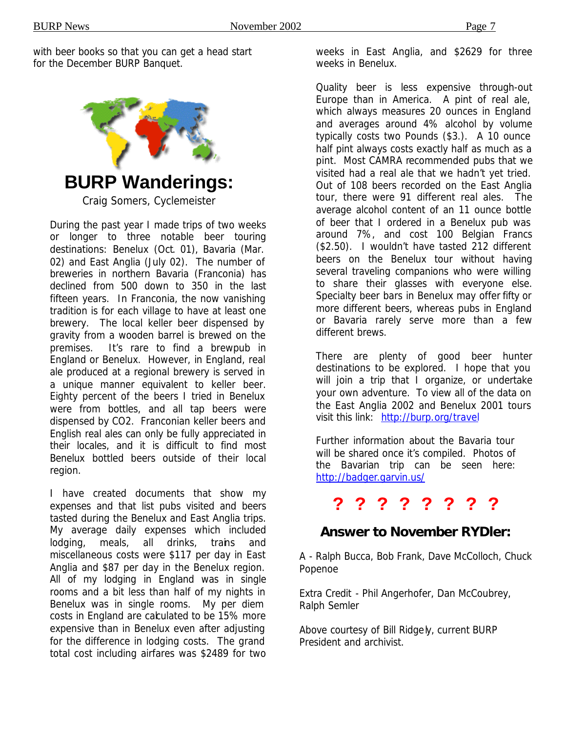with beer books so that you can get a head start for the December BURP Banquet.



**BURP Wanderings:**

*Craig Somers, Cyclemeister*

During the past year I made trips of two weeks or longer to three notable beer touring destinations: Benelux (Oct. 01), Bavaria (Mar. 02) and East Anglia (July 02). The number of breweries in northern Bavaria (Franconia) has declined from 500 down to 350 in the last fifteen years. In Franconia, the now vanishing tradition is for each village to have at least one brewery. The local keller beer dispensed by gravity from a wooden barrel is brewed on the premises. It's rare to find a brewpub in England or Benelux. However, in England, real ale produced at a regional brewery is served in a unique manner equivalent to keller beer. Eighty percent of the beers I tried in Benelux were from bottles, and all tap beers were dispensed by CO2. Franconian keller beers and English real ales can only be fully appreciated in their locales, and it is difficult to find most Benelux bottled beers outside of their local region.

I have created documents that show my expenses and that list pubs visited and beers tasted during the Benelux and East Anglia trips. My average daily expenses which included lodging, meals, all drinks, trains and miscellaneous costs were \$117 per day in East Anglia and \$87 per day in the Benelux region. All of my lodging in England was in single rooms and a bit less than half of my nights in Benelux was in single rooms. My per diem costs in England are calculated to be 15% more expensive than in Benelux even after adjusting for the difference in lodging costs. The grand total cost including airfares was \$2489 for two

weeks in East Anglia, and \$2629 for three weeks in Benelux.

Quality beer is less expensive through-out Europe than in America. A pint of real ale, which always measures 20 ounces in England and averages around 4% alcohol by volume typically costs two Pounds (\$3.). A 10 ounce half pint always costs exactly half as much as a pint. Most CAMRA recommended pubs that we visited had a real ale that we hadn't yet tried. Out of 108 beers recorded on the East Anglia tour, there were 91 different real ales. The average alcohol content of an 11 ounce bottle of beer that I ordered in a Benelux pub was around 7%, and cost 100 Belgian Francs (\$2.50). I wouldn't have tasted 212 different beers on the Benelux tour without having several traveling companions who were willing to share their glasses with everyone else. Specialty beer bars in Benelux may offer fifty or more different beers, whereas pubs in England or Bavaria rarely serve more than a few different brews.

There are plenty of good beer hunter destinations to be explored. I hope that you will join a trip that I organize, or undertake your own adventure. To view all of the data on the East Anglia 2002 and Benelux 2001 tours visit this link: http://burp.org/travel

Further information about the Bavaria tour will be shared once it's compiled. Photos of the Bavarian trip can be seen here: http://badger.garvin.us/

## **? ? ? ? ? ? ? ?**

## *Answer to November RYDler:*

A - Ralph Bucca, Bob Frank, Dave McColloch, Chuck Popenoe

Extra Credit - Phil Angerhofer, Dan McCoubrey, Ralph Semler

Above courtesy of Bill Ridgely, current BURP President and archivist.